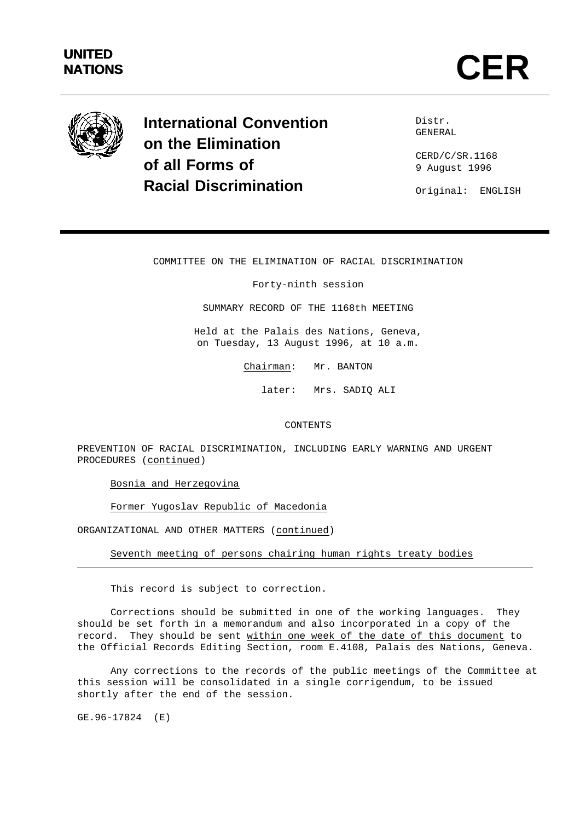# **UNITED**



**International Convention on the Elimination of all Forms of Racial Discrimination**

Distr. GENERAL

CERD/C/SR.1168 9 August 1996

Original: ENGLISH

## COMMITTEE ON THE ELIMINATION OF RACIAL DISCRIMINATION

Forty-ninth session

SUMMARY RECORD OF THE 1168th MEETING

Held at the Palais des Nations, Geneva, on Tuesday, 13 August 1996, at 10 a.m.

Chairman: Mr. BANTON

later: Mrs. SADIQ ALI

## CONTENTS

PREVENTION OF RACIAL DISCRIMINATION, INCLUDING EARLY WARNING AND URGENT PROCEDURES (continued)

Bosnia and Herzegovina

Former Yugoslav Republic of Macedonia

ORGANIZATIONAL AND OTHER MATTERS (continued)

Seventh meeting of persons chairing human rights treaty bodies

This record is subject to correction.

Corrections should be submitted in one of the working languages. They should be set forth in a memorandum and also incorporated in a copy of the record. They should be sent within one week of the date of this document to the Official Records Editing Section, room E.4108, Palais des Nations, Geneva.

Any corrections to the records of the public meetings of the Committee at this session will be consolidated in a single corrigendum, to be issued shortly after the end of the session.

GE.96-17824 (E)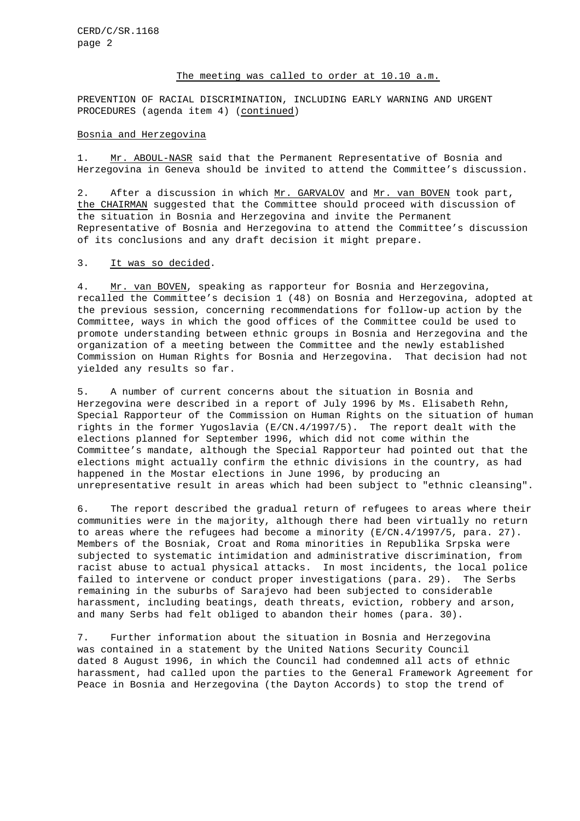#### The meeting was called to order at 10.10 a.m.

PREVENTION OF RACIAL DISCRIMINATION, INCLUDING EARLY WARNING AND URGENT PROCEDURES (agenda item 4) (continued)

#### Bosnia and Herzegovina

1. Mr. ABOUL-NASR said that the Permanent Representative of Bosnia and Herzegovina in Geneva should be invited to attend the Committee's discussion.

2. After a discussion in which Mr. GARVALOV and Mr. van BOVEN took part, the CHAIRMAN suggested that the Committee should proceed with discussion of the situation in Bosnia and Herzegovina and invite the Permanent Representative of Bosnia and Herzegovina to attend the Committee's discussion of its conclusions and any draft decision it might prepare.

#### 3. It was so decided.

4. Mr. van BOVEN, speaking as rapporteur for Bosnia and Herzegovina, recalled the Committee's decision 1 (48) on Bosnia and Herzegovina, adopted at the previous session, concerning recommendations for follow-up action by the Committee, ways in which the good offices of the Committee could be used to promote understanding between ethnic groups in Bosnia and Herzegovina and the organization of a meeting between the Committee and the newly established Commission on Human Rights for Bosnia and Herzegovina. That decision had not yielded any results so far.

5. A number of current concerns about the situation in Bosnia and Herzegovina were described in a report of July 1996 by Ms. Elisabeth Rehn, Special Rapporteur of the Commission on Human Rights on the situation of human rights in the former Yugoslavia (E/CN.4/1997/5). The report dealt with the elections planned for September 1996, which did not come within the Committee's mandate, although the Special Rapporteur had pointed out that the elections might actually confirm the ethnic divisions in the country, as had happened in the Mostar elections in June 1996, by producing an unrepresentative result in areas which had been subject to "ethnic cleansing".

6. The report described the gradual return of refugees to areas where their communities were in the majority, although there had been virtually no return to areas where the refugees had become a minority (E/CN.4/1997/5, para. 27). Members of the Bosniak, Croat and Roma minorities in Republika Srpska were subjected to systematic intimidation and administrative discrimination, from racist abuse to actual physical attacks. In most incidents, the local police failed to intervene or conduct proper investigations (para. 29). The Serbs remaining in the suburbs of Sarajevo had been subjected to considerable harassment, including beatings, death threats, eviction, robbery and arson, and many Serbs had felt obliged to abandon their homes (para. 30).

7. Further information about the situation in Bosnia and Herzegovina was contained in a statement by the United Nations Security Council dated 8 August 1996, in which the Council had condemned all acts of ethnic harassment, had called upon the parties to the General Framework Agreement for Peace in Bosnia and Herzegovina (the Dayton Accords) to stop the trend of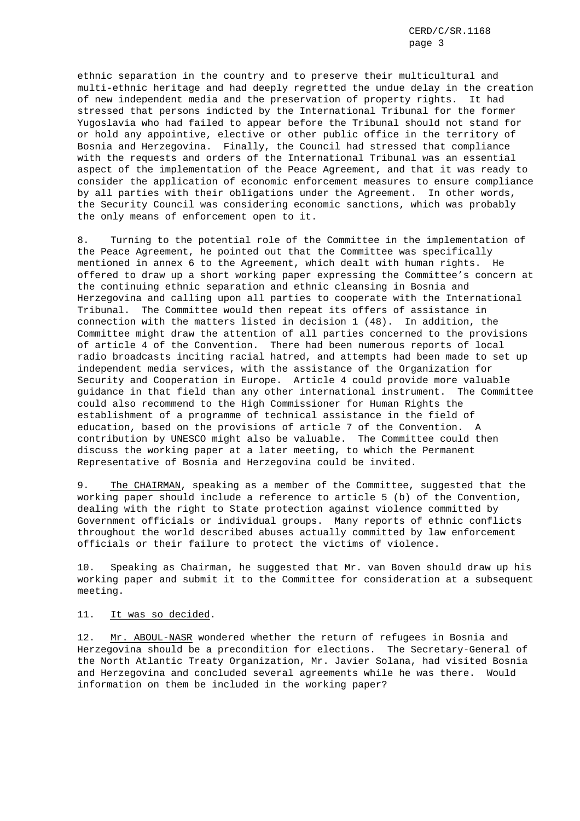ethnic separation in the country and to preserve their multicultural and multi-ethnic heritage and had deeply regretted the undue delay in the creation of new independent media and the preservation of property rights. It had stressed that persons indicted by the International Tribunal for the former Yugoslavia who had failed to appear before the Tribunal should not stand for or hold any appointive, elective or other public office in the territory of Bosnia and Herzegovina. Finally, the Council had stressed that compliance with the requests and orders of the International Tribunal was an essential aspect of the implementation of the Peace Agreement, and that it was ready to consider the application of economic enforcement measures to ensure compliance by all parties with their obligations under the Agreement. In other words, the Security Council was considering economic sanctions, which was probably the only means of enforcement open to it.

8. Turning to the potential role of the Committee in the implementation of the Peace Agreement, he pointed out that the Committee was specifically mentioned in annex 6 to the Agreement, which dealt with human rights. He offered to draw up a short working paper expressing the Committee's concern at the continuing ethnic separation and ethnic cleansing in Bosnia and Herzegovina and calling upon all parties to cooperate with the International Tribunal. The Committee would then repeat its offers of assistance in connection with the matters listed in decision 1 (48). In addition, the Committee might draw the attention of all parties concerned to the provisions of article 4 of the Convention. There had been numerous reports of local radio broadcasts inciting racial hatred, and attempts had been made to set up independent media services, with the assistance of the Organization for Security and Cooperation in Europe. Article 4 could provide more valuable guidance in that field than any other international instrument. The Committee could also recommend to the High Commissioner for Human Rights the establishment of a programme of technical assistance in the field of education, based on the provisions of article 7 of the Convention. A contribution by UNESCO might also be valuable. The Committee could then discuss the working paper at a later meeting, to which the Permanent Representative of Bosnia and Herzegovina could be invited.

9. The CHAIRMAN, speaking as a member of the Committee, suggested that the working paper should include a reference to article 5 (b) of the Convention, dealing with the right to State protection against violence committed by Government officials or individual groups. Many reports of ethnic conflicts throughout the world described abuses actually committed by law enforcement officials or their failure to protect the victims of violence.

10. Speaking as Chairman, he suggested that Mr. van Boven should draw up his working paper and submit it to the Committee for consideration at a subsequent meeting.

## 11. It was so decided.

12. Mr. ABOUL-NASR wondered whether the return of refugees in Bosnia and Herzegovina should be a precondition for elections. The Secretary-General of the North Atlantic Treaty Organization, Mr. Javier Solana, had visited Bosnia and Herzegovina and concluded several agreements while he was there. Would information on them be included in the working paper?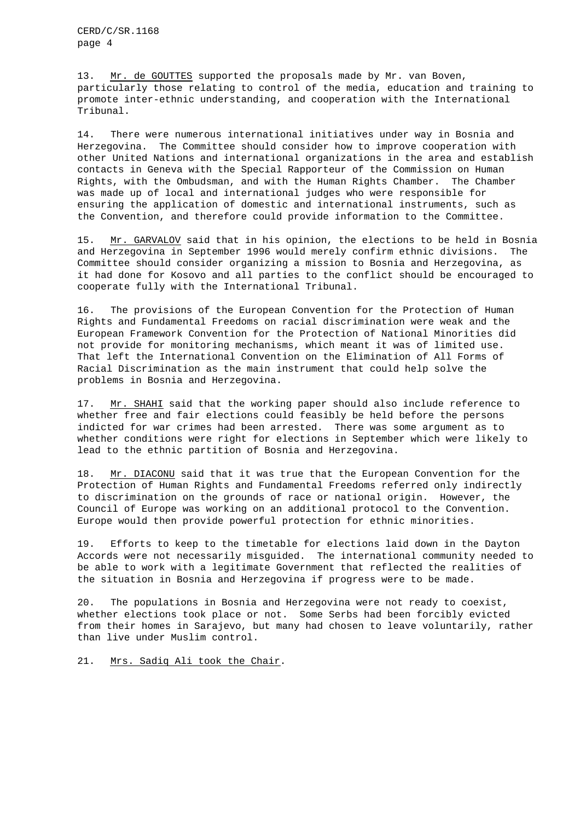13. Mr. de GOUTTES supported the proposals made by Mr. van Boven, particularly those relating to control of the media, education and training to promote inter-ethnic understanding, and cooperation with the International Tribunal.

14. There were numerous international initiatives under way in Bosnia and Herzegovina. The Committee should consider how to improve cooperation with other United Nations and international organizations in the area and establish contacts in Geneva with the Special Rapporteur of the Commission on Human Rights, with the Ombudsman, and with the Human Rights Chamber. The Chamber was made up of local and international judges who were responsible for ensuring the application of domestic and international instruments, such as the Convention, and therefore could provide information to the Committee.

15. Mr. GARVALOV said that in his opinion, the elections to be held in Bosnia and Herzegovina in September 1996 would merely confirm ethnic divisions. The Committee should consider organizing a mission to Bosnia and Herzegovina, as it had done for Kosovo and all parties to the conflict should be encouraged to cooperate fully with the International Tribunal.

16. The provisions of the European Convention for the Protection of Human Rights and Fundamental Freedoms on racial discrimination were weak and the European Framework Convention for the Protection of National Minorities did not provide for monitoring mechanisms, which meant it was of limited use. That left the International Convention on the Elimination of All Forms of Racial Discrimination as the main instrument that could help solve the problems in Bosnia and Herzegovina.

17. Mr. SHAHI said that the working paper should also include reference to whether free and fair elections could feasibly be held before the persons indicted for war crimes had been arrested. There was some argument as to whether conditions were right for elections in September which were likely to lead to the ethnic partition of Bosnia and Herzegovina.

18. Mr. DIACONU said that it was true that the European Convention for the Protection of Human Rights and Fundamental Freedoms referred only indirectly to discrimination on the grounds of race or national origin. However, the Council of Europe was working on an additional protocol to the Convention. Europe would then provide powerful protection for ethnic minorities.

19. Efforts to keep to the timetable for elections laid down in the Dayton Accords were not necessarily misguided. The international community needed to be able to work with a legitimate Government that reflected the realities of the situation in Bosnia and Herzegovina if progress were to be made.

20. The populations in Bosnia and Herzegovina were not ready to coexist, whether elections took place or not. Some Serbs had been forcibly evicted from their homes in Sarajevo, but many had chosen to leave voluntarily, rather than live under Muslim control.

21. Mrs. Sadiq Ali took the Chair.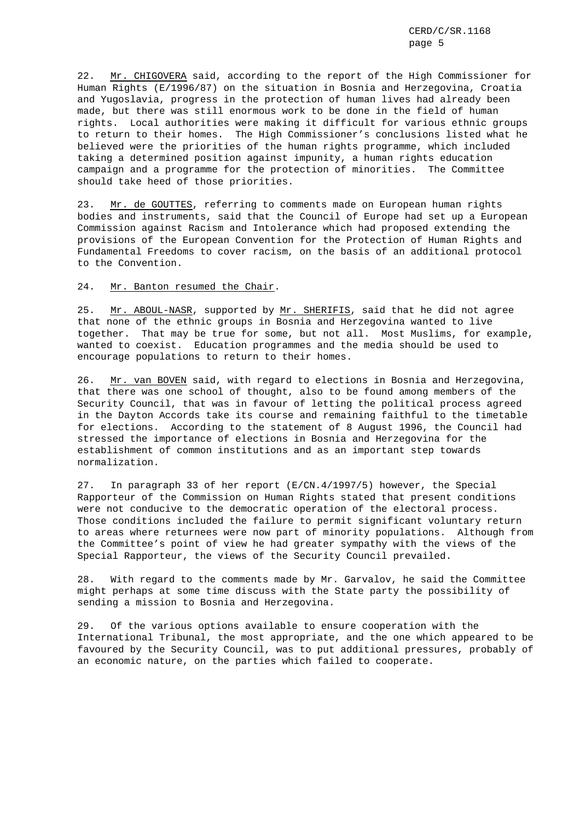22. Mr. CHIGOVERA said, according to the report of the High Commissioner for Human Rights (E/1996/87) on the situation in Bosnia and Herzegovina, Croatia and Yugoslavia, progress in the protection of human lives had already been made, but there was still enormous work to be done in the field of human rights. Local authorities were making it difficult for various ethnic groups to return to their homes. The High Commissioner's conclusions listed what he believed were the priorities of the human rights programme, which included taking a determined position against impunity, a human rights education campaign and a programme for the protection of minorities. The Committee should take heed of those priorities.

23. Mr. de GOUTTES, referring to comments made on European human rights bodies and instruments, said that the Council of Europe had set up a European Commission against Racism and Intolerance which had proposed extending the provisions of the European Convention for the Protection of Human Rights and Fundamental Freedoms to cover racism, on the basis of an additional protocol to the Convention.

#### 24. Mr. Banton resumed the Chair.

25. Mr. ABOUL-NASR, supported by Mr. SHERIFIS, said that he did not agree that none of the ethnic groups in Bosnia and Herzegovina wanted to live together. That may be true for some, but not all. Most Muslims, for example, wanted to coexist. Education programmes and the media should be used to encourage populations to return to their homes.

26. Mr. van BOVEN said, with regard to elections in Bosnia and Herzegovina, that there was one school of thought, also to be found among members of the Security Council, that was in favour of letting the political process agreed in the Dayton Accords take its course and remaining faithful to the timetable for elections. According to the statement of 8 August 1996, the Council had stressed the importance of elections in Bosnia and Herzegovina for the establishment of common institutions and as an important step towards normalization.

27. In paragraph 33 of her report (E/CN.4/1997/5) however, the Special Rapporteur of the Commission on Human Rights stated that present conditions were not conducive to the democratic operation of the electoral process. Those conditions included the failure to permit significant voluntary return to areas where returnees were now part of minority populations. Although from the Committee's point of view he had greater sympathy with the views of the Special Rapporteur, the views of the Security Council prevailed.

28. With regard to the comments made by Mr. Garvalov, he said the Committee might perhaps at some time discuss with the State party the possibility of sending a mission to Bosnia and Herzegovina.

29. Of the various options available to ensure cooperation with the International Tribunal, the most appropriate, and the one which appeared to be favoured by the Security Council, was to put additional pressures, probably of an economic nature, on the parties which failed to cooperate.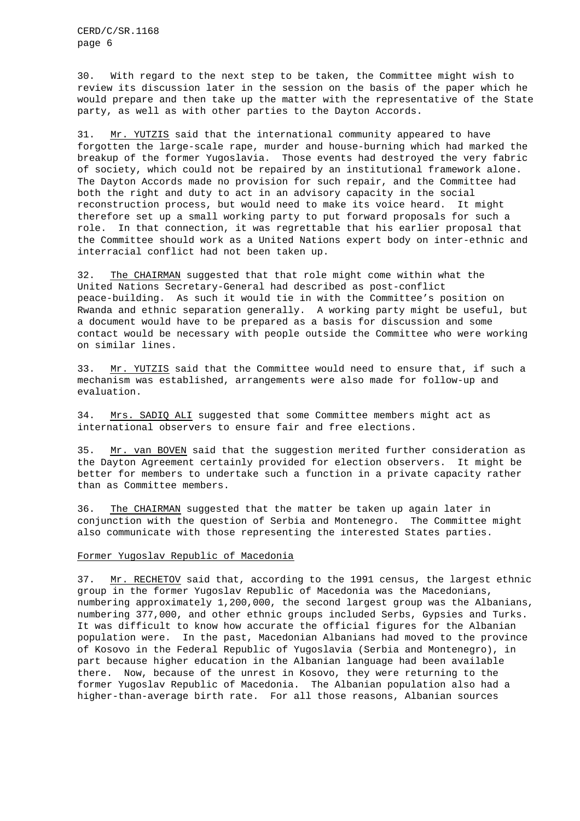30. With regard to the next step to be taken, the Committee might wish to review its discussion later in the session on the basis of the paper which he would prepare and then take up the matter with the representative of the State party, as well as with other parties to the Dayton Accords.

31. Mr. YUTZIS said that the international community appeared to have forgotten the large-scale rape, murder and house-burning which had marked the breakup of the former Yugoslavia. Those events had destroyed the very fabric of society, which could not be repaired by an institutional framework alone. The Dayton Accords made no provision for such repair, and the Committee had both the right and duty to act in an advisory capacity in the social reconstruction process, but would need to make its voice heard. It might therefore set up a small working party to put forward proposals for such a role. In that connection, it was regrettable that his earlier proposal that the Committee should work as a United Nations expert body on inter-ethnic and interracial conflict had not been taken up.

32. The CHAIRMAN suggested that that role might come within what the United Nations Secretary-General had described as post-conflict peace-building. As such it would tie in with the Committee's position on Rwanda and ethnic separation generally. A working party might be useful, but a document would have to be prepared as a basis for discussion and some contact would be necessary with people outside the Committee who were working on similar lines.

33. Mr. YUTZIS said that the Committee would need to ensure that, if such a mechanism was established, arrangements were also made for follow-up and evaluation.

34. Mrs. SADIQ ALI suggested that some Committee members might act as international observers to ensure fair and free elections.

35. Mr. van BOVEN said that the suggestion merited further consideration as the Dayton Agreement certainly provided for election observers. It might be better for members to undertake such a function in a private capacity rather than as Committee members.

36. The CHAIRMAN suggested that the matter be taken up again later in conjunction with the question of Serbia and Montenegro. The Committee might also communicate with those representing the interested States parties.

#### Former Yugoslav Republic of Macedonia

37. Mr. RECHETOV said that, according to the 1991 census, the largest ethnic group in the former Yugoslav Republic of Macedonia was the Macedonians, numbering approximately 1,200,000, the second largest group was the Albanians, numbering 377,000, and other ethnic groups included Serbs, Gypsies and Turks. It was difficult to know how accurate the official figures for the Albanian population were. In the past, Macedonian Albanians had moved to the province of Kosovo in the Federal Republic of Yugoslavia (Serbia and Montenegro), in part because higher education in the Albanian language had been available there. Now, because of the unrest in Kosovo, they were returning to the former Yugoslav Republic of Macedonia. The Albanian population also had a higher-than-average birth rate. For all those reasons, Albanian sources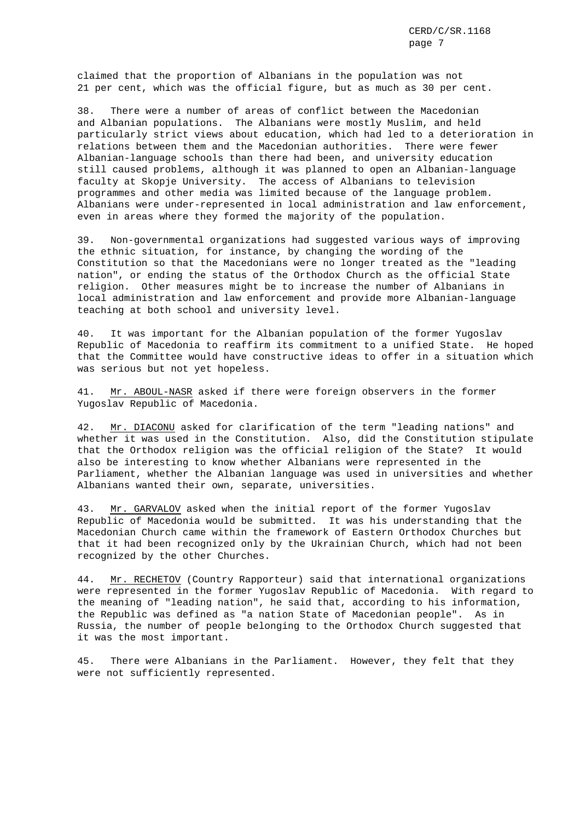CERD/C/SR.1168 page 7

claimed that the proportion of Albanians in the population was not 21 per cent, which was the official figure, but as much as 30 per cent.

38. There were a number of areas of conflict between the Macedonian and Albanian populations. The Albanians were mostly Muslim, and held particularly strict views about education, which had led to a deterioration in relations between them and the Macedonian authorities. There were fewer Albanian-language schools than there had been, and university education still caused problems, although it was planned to open an Albanian-language faculty at Skopje University. The access of Albanians to television programmes and other media was limited because of the language problem. Albanians were under-represented in local administration and law enforcement, even in areas where they formed the majority of the population.

39. Non-governmental organizations had suggested various ways of improving the ethnic situation, for instance, by changing the wording of the Constitution so that the Macedonians were no longer treated as the "leading nation", or ending the status of the Orthodox Church as the official State religion. Other measures might be to increase the number of Albanians in local administration and law enforcement and provide more Albanian-language teaching at both school and university level.

40. It was important for the Albanian population of the former Yugoslav Republic of Macedonia to reaffirm its commitment to a unified State. He hoped that the Committee would have constructive ideas to offer in a situation which was serious but not yet hopeless.

41. Mr. ABOUL-NASR asked if there were foreign observers in the former Yugoslav Republic of Macedonia.

42. Mr. DIACONU asked for clarification of the term "leading nations" and whether it was used in the Constitution. Also, did the Constitution stipulate that the Orthodox religion was the official religion of the State? It would also be interesting to know whether Albanians were represented in the Parliament, whether the Albanian language was used in universities and whether Albanians wanted their own, separate, universities.

43. Mr. GARVALOV asked when the initial report of the former Yugoslav Republic of Macedonia would be submitted. It was his understanding that the Macedonian Church came within the framework of Eastern Orthodox Churches but that it had been recognized only by the Ukrainian Church, which had not been recognized by the other Churches.

44. Mr. RECHETOV (Country Rapporteur) said that international organizations were represented in the former Yugoslav Republic of Macedonia. With regard to the meaning of "leading nation", he said that, according to his information, the Republic was defined as "a nation State of Macedonian people". As in Russia, the number of people belonging to the Orthodox Church suggested that it was the most important.

45. There were Albanians in the Parliament. However, they felt that they were not sufficiently represented.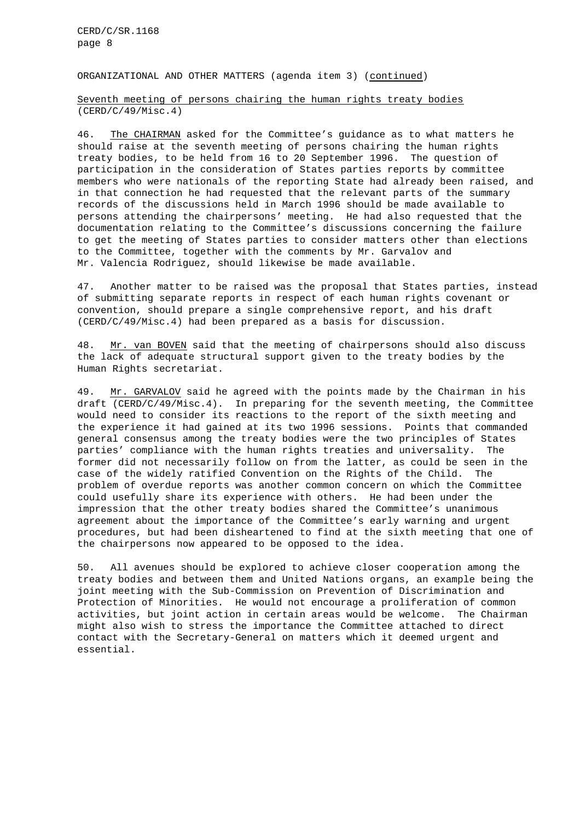CERD/C/SR.1168 page 8

ORGANIZATIONAL AND OTHER MATTERS (agenda item 3) (continued)

Seventh meeting of persons chairing the human rights treaty bodies (CERD/C/49/Misc.4)

46. The CHAIRMAN asked for the Committee's guidance as to what matters he should raise at the seventh meeting of persons chairing the human rights treaty bodies, to be held from 16 to 20 September 1996. The question of participation in the consideration of States parties reports by committee members who were nationals of the reporting State had already been raised, and in that connection he had requested that the relevant parts of the summary records of the discussions held in March 1996 should be made available to persons attending the chairpersons' meeting. He had also requested that the documentation relating to the Committee's discussions concerning the failure to get the meeting of States parties to consider matters other than elections to the Committee, together with the comments by Mr. Garvalov and Mr. Valencia Rodriguez, should likewise be made available.

47. Another matter to be raised was the proposal that States parties, instead of submitting separate reports in respect of each human rights covenant or convention, should prepare a single comprehensive report, and his draft (CERD/C/49/Misc.4) had been prepared as a basis for discussion.

48. Mr. van BOVEN said that the meeting of chairpersons should also discuss the lack of adequate structural support given to the treaty bodies by the Human Rights secretariat.

49. Mr. GARVALOV said he agreed with the points made by the Chairman in his draft (CERD/C/49/Misc.4). In preparing for the seventh meeting, the Committee would need to consider its reactions to the report of the sixth meeting and the experience it had gained at its two 1996 sessions. Points that commanded general consensus among the treaty bodies were the two principles of States parties' compliance with the human rights treaties and universality. The former did not necessarily follow on from the latter, as could be seen in the case of the widely ratified Convention on the Rights of the Child. The problem of overdue reports was another common concern on which the Committee could usefully share its experience with others. He had been under the impression that the other treaty bodies shared the Committee's unanimous agreement about the importance of the Committee's early warning and urgent procedures, but had been disheartened to find at the sixth meeting that one of the chairpersons now appeared to be opposed to the idea.

50. All avenues should be explored to achieve closer cooperation among the treaty bodies and between them and United Nations organs, an example being the joint meeting with the Sub-Commission on Prevention of Discrimination and Protection of Minorities. He would not encourage a proliferation of common activities, but joint action in certain areas would be welcome. The Chairman might also wish to stress the importance the Committee attached to direct contact with the Secretary-General on matters which it deemed urgent and essential.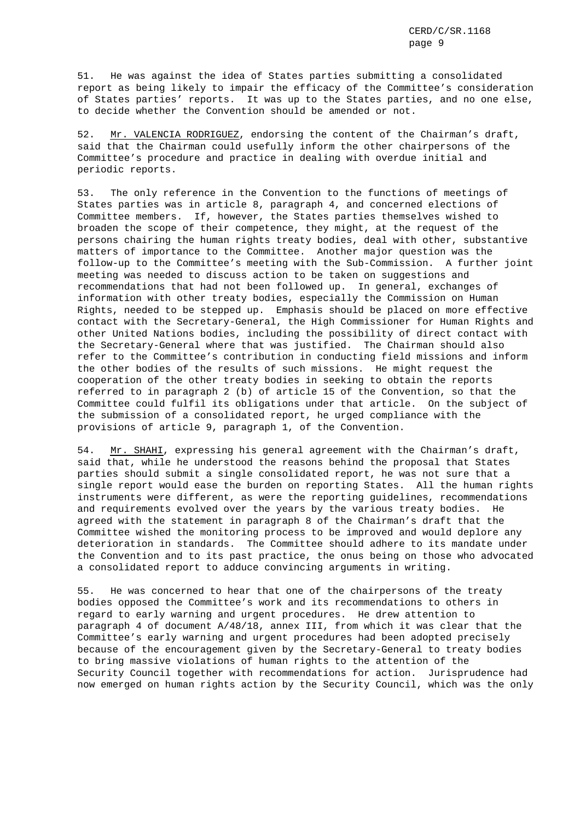51. He was against the idea of States parties submitting a consolidated report as being likely to impair the efficacy of the Committee's consideration of States parties' reports. It was up to the States parties, and no one else, to decide whether the Convention should be amended or not.

52. Mr. VALENCIA RODRIGUEZ, endorsing the content of the Chairman's draft, said that the Chairman could usefully inform the other chairpersons of the Committee's procedure and practice in dealing with overdue initial and periodic reports.

53. The only reference in the Convention to the functions of meetings of States parties was in article 8, paragraph 4, and concerned elections of Committee members. If, however, the States parties themselves wished to broaden the scope of their competence, they might, at the request of the persons chairing the human rights treaty bodies, deal with other, substantive matters of importance to the Committee. Another major question was the follow-up to the Committee's meeting with the Sub-Commission. A further joint meeting was needed to discuss action to be taken on suggestions and recommendations that had not been followed up. In general, exchanges of information with other treaty bodies, especially the Commission on Human Rights, needed to be stepped up. Emphasis should be placed on more effective contact with the Secretary-General, the High Commissioner for Human Rights and other United Nations bodies, including the possibility of direct contact with the Secretary-General where that was justified. The Chairman should also refer to the Committee's contribution in conducting field missions and inform the other bodies of the results of such missions. He might request the cooperation of the other treaty bodies in seeking to obtain the reports referred to in paragraph 2 (b) of article 15 of the Convention, so that the Committee could fulfil its obligations under that article. On the subject of the submission of a consolidated report, he urged compliance with the provisions of article 9, paragraph 1, of the Convention.

54. Mr. SHAHI, expressing his general agreement with the Chairman's draft, said that, while he understood the reasons behind the proposal that States parties should submit a single consolidated report, he was not sure that a single report would ease the burden on reporting States. All the human rights instruments were different, as were the reporting guidelines, recommendations and requirements evolved over the years by the various treaty bodies. He agreed with the statement in paragraph 8 of the Chairman's draft that the Committee wished the monitoring process to be improved and would deplore any deterioration in standards. The Committee should adhere to its mandate under the Convention and to its past practice, the onus being on those who advocated a consolidated report to adduce convincing arguments in writing.

55. He was concerned to hear that one of the chairpersons of the treaty bodies opposed the Committee's work and its recommendations to others in regard to early warning and urgent procedures. He drew attention to paragraph 4 of document A/48/18, annex III, from which it was clear that the Committee's early warning and urgent procedures had been adopted precisely because of the encouragement given by the Secretary-General to treaty bodies to bring massive violations of human rights to the attention of the Security Council together with recommendations for action. Jurisprudence had now emerged on human rights action by the Security Council, which was the only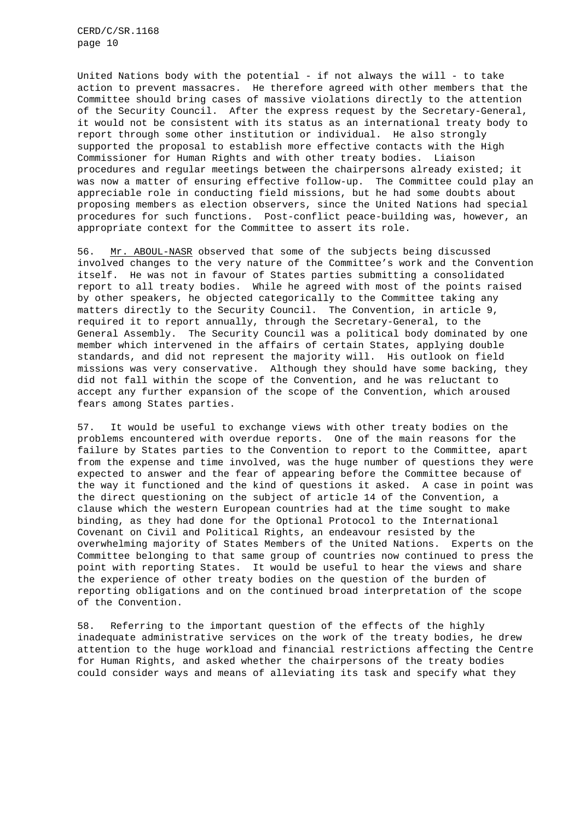CERD/C/SR.1168 page 10

United Nations body with the potential - if not always the will - to take action to prevent massacres. He therefore agreed with other members that the Committee should bring cases of massive violations directly to the attention of the Security Council. After the express request by the Secretary-General, it would not be consistent with its status as an international treaty body to report through some other institution or individual. He also strongly supported the proposal to establish more effective contacts with the High Commissioner for Human Rights and with other treaty bodies. Liaison procedures and regular meetings between the chairpersons already existed; it was now a matter of ensuring effective follow-up. The Committee could play an appreciable role in conducting field missions, but he had some doubts about proposing members as election observers, since the United Nations had special procedures for such functions. Post-conflict peace-building was, however, an appropriate context for the Committee to assert its role.

56. Mr. ABOUL-NASR observed that some of the subjects being discussed involved changes to the very nature of the Committee's work and the Convention itself. He was not in favour of States parties submitting a consolidated report to all treaty bodies. While he agreed with most of the points raised by other speakers, he objected categorically to the Committee taking any matters directly to the Security Council. The Convention, in article 9, required it to report annually, through the Secretary-General, to the General Assembly. The Security Council was a political body dominated by one member which intervened in the affairs of certain States, applying double standards, and did not represent the majority will. His outlook on field missions was very conservative. Although they should have some backing, they did not fall within the scope of the Convention, and he was reluctant to accept any further expansion of the scope of the Convention, which aroused fears among States parties.

57. It would be useful to exchange views with other treaty bodies on the problems encountered with overdue reports. One of the main reasons for the failure by States parties to the Convention to report to the Committee, apart from the expense and time involved, was the huge number of questions they were expected to answer and the fear of appearing before the Committee because of the way it functioned and the kind of questions it asked. A case in point was the direct questioning on the subject of article 14 of the Convention, a clause which the western European countries had at the time sought to make binding, as they had done for the Optional Protocol to the International Covenant on Civil and Political Rights, an endeavour resisted by the overwhelming majority of States Members of the United Nations. Experts on the Committee belonging to that same group of countries now continued to press the point with reporting States. It would be useful to hear the views and share the experience of other treaty bodies on the question of the burden of reporting obligations and on the continued broad interpretation of the scope of the Convention.

58. Referring to the important question of the effects of the highly inadequate administrative services on the work of the treaty bodies, he drew attention to the huge workload and financial restrictions affecting the Centre for Human Rights, and asked whether the chairpersons of the treaty bodies could consider ways and means of alleviating its task and specify what they